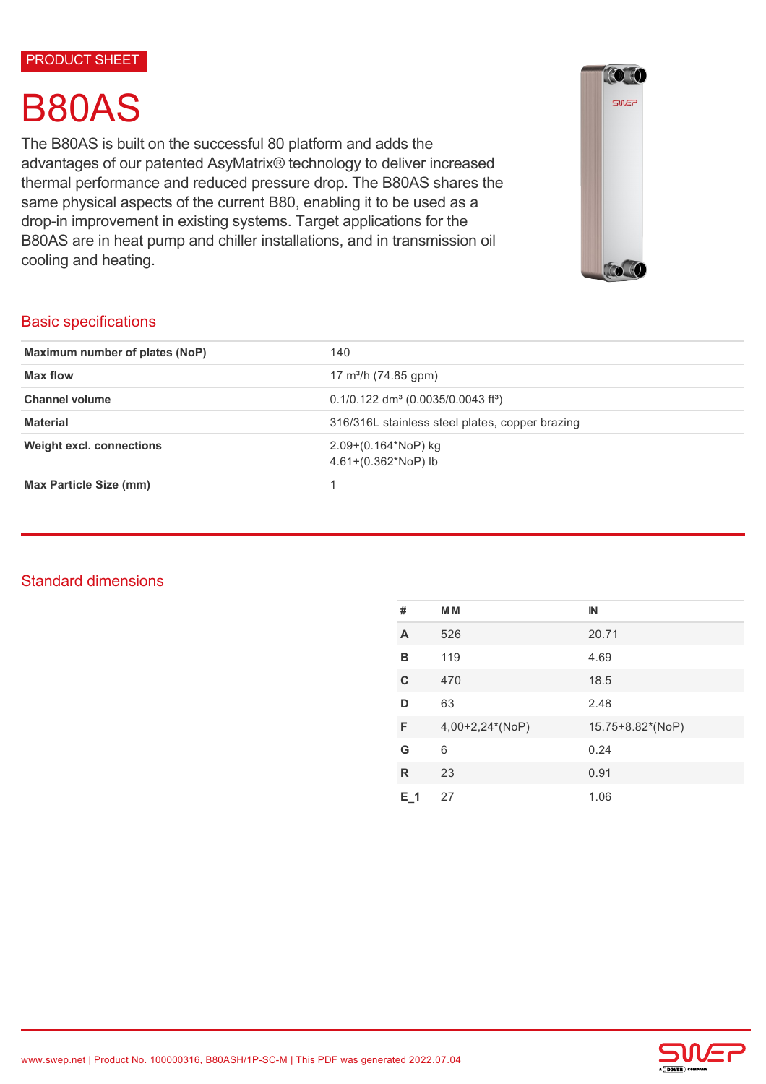#### PRODUCT SHEET

# B80AS

The B80AS is built on the successful 80 platform and adds the advantages of our patented AsyMatrix® technology to deliver increased thermal performance and reduced pressure drop. The B80AS shares the same physical aspects of the current B80, enabling it to be used as a drop-in improvement in existing systems. Target applications for the B80AS are in heat pump and chiller installations, and in transmission oil cooling and heating.



## Basic specifications

| Maximum number of plates (NoP)                                                  | 140                                                          |  |
|---------------------------------------------------------------------------------|--------------------------------------------------------------|--|
| Max flow                                                                        | 17 m <sup>3</sup> /h (74.85 gpm)                             |  |
| <b>Channel volume</b>                                                           | $0.1/0.122$ dm <sup>3</sup> (0.0035/0.0043 ft <sup>3</sup> ) |  |
| <b>Material</b>                                                                 | 316/316L stainless steel plates, copper brazing              |  |
| <b>Weight excl. connections</b><br>$2.09+(0.164*NoP)$ kg<br>4.61+(0.362*NoP) lb |                                                              |  |
| <b>Max Particle Size (mm)</b>                                                   |                                                              |  |

## Standard dimensions

| #       | <b>MM</b>       | $\mathbb{N}$     |
|---------|-----------------|------------------|
| A       | 526             | 20.71            |
| в       | 119             | 4.69             |
| C       | 470             | 18.5             |
| D       | 63              | 2.48             |
| F       | 4,00+2,24*(NoP) | 15.75+8.82*(NoP) |
| G       | 6               | 0.24             |
| R       | 23              | 0.91             |
| $E_1$ 1 | 27              | 1.06             |